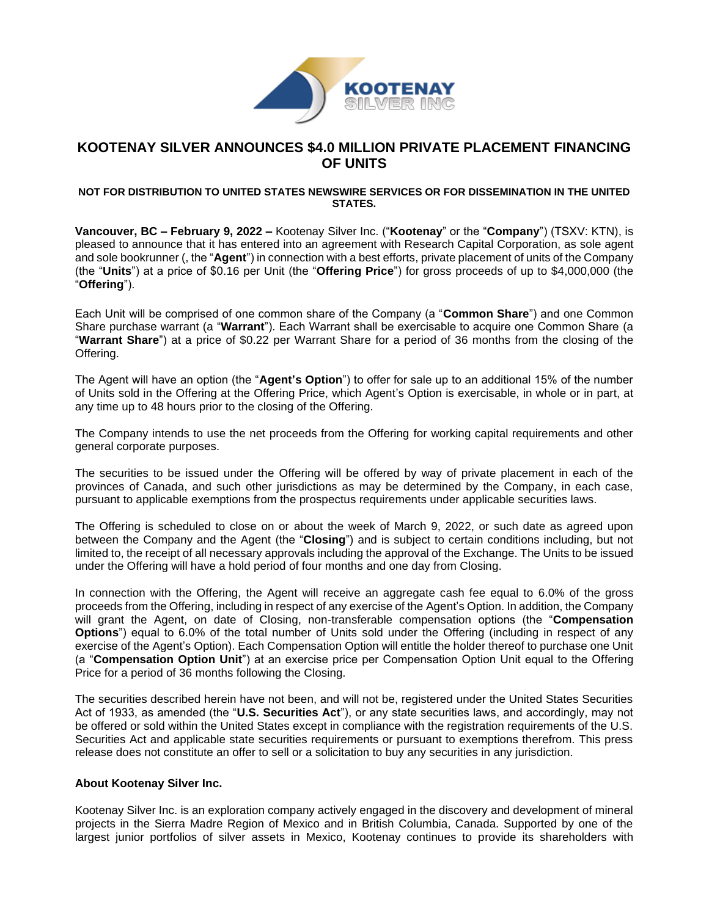

# **KOOTENAY SILVER ANNOUNCES \$4.0 MILLION PRIVATE PLACEMENT FINANCING OF UNITS**

#### **NOT FOR DISTRIBUTION TO UNITED STATES NEWSWIRE SERVICES OR FOR DISSEMINATION IN THE UNITED STATES.**

**Vancouver, BC – February 9, 2022 –** Kootenay Silver Inc. ("**Kootenay**" or the "**Company**") (TSXV: KTN), is pleased to announce that it has entered into an agreement with Research Capital Corporation, as sole agent and sole bookrunner (, the "**Agent**") in connection with a best efforts, private placement of units of the Company (the "**Units**") at a price of \$0.16 per Unit (the "**Offering Price**") for gross proceeds of up to \$4,000,000 (the "**Offering**").

Each Unit will be comprised of one common share of the Company (a "**Common Share**") and one Common Share purchase warrant (a "**Warrant**"). Each Warrant shall be exercisable to acquire one Common Share (a "**Warrant Share**") at a price of \$0.22 per Warrant Share for a period of 36 months from the closing of the Offering.

The Agent will have an option (the "**Agent's Option**") to offer for sale up to an additional 15% of the number of Units sold in the Offering at the Offering Price, which Agent's Option is exercisable, in whole or in part, at any time up to 48 hours prior to the closing of the Offering.

The Company intends to use the net proceeds from the Offering for working capital requirements and other general corporate purposes.

The securities to be issued under the Offering will be offered by way of private placement in each of the provinces of Canada, and such other jurisdictions as may be determined by the Company, in each case, pursuant to applicable exemptions from the prospectus requirements under applicable securities laws.

The Offering is scheduled to close on or about the week of March 9, 2022, or such date as agreed upon between the Company and the Agent (the "**Closing**") and is subject to certain conditions including, but not limited to, the receipt of all necessary approvals including the approval of the Exchange. The Units to be issued under the Offering will have a hold period of four months and one day from Closing.

In connection with the Offering, the Agent will receive an aggregate cash fee equal to 6.0% of the gross proceeds from the Offering, including in respect of any exercise of the Agent's Option. In addition, the Company will grant the Agent, on date of Closing, non-transferable compensation options (the "**Compensation Options**") equal to 6.0% of the total number of Units sold under the Offering (including in respect of any exercise of the Agent's Option). Each Compensation Option will entitle the holder thereof to purchase one Unit (a "**Compensation Option Unit**") at an exercise price per Compensation Option Unit equal to the Offering Price for a period of 36 months following the Closing.

The securities described herein have not been, and will not be, registered under the United States Securities Act of 1933, as amended (the "**U.S. Securities Act**"), or any state securities laws, and accordingly, may not be offered or sold within the United States except in compliance with the registration requirements of the U.S. Securities Act and applicable state securities requirements or pursuant to exemptions therefrom. This press release does not constitute an offer to sell or a solicitation to buy any securities in any jurisdiction.

### **About Kootenay Silver Inc.**

Kootenay Silver Inc. is an exploration company actively engaged in the discovery and development of mineral projects in the Sierra Madre Region of Mexico and in British Columbia, Canada. Supported by one of the largest junior portfolios of silver assets in Mexico, Kootenay continues to provide its shareholders with